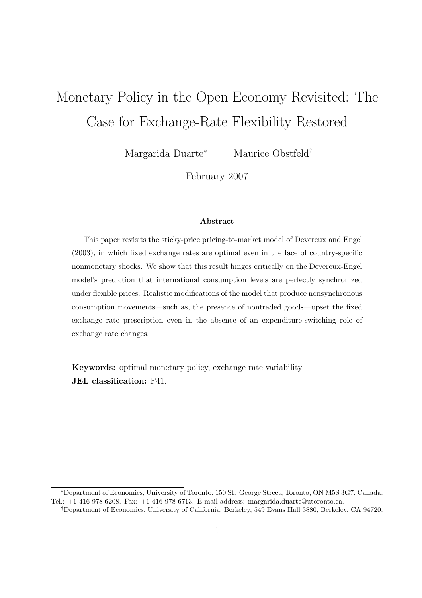# Monetary Policy in the Open Economy Revisited: The Case for Exchange-Rate Flexibility Restored

Margarida Duarte<sup>∗</sup> Maurice Obstfeld†

February 2007

#### Abstract

This paper revisits the sticky-price pricing-to-market model of Devereux and Engel (2003), in which fixed exchange rates are optimal even in the face of country-specific nonmonetary shocks. We show that this result hinges critically on the Devereux-Engel model's prediction that international consumption levels are perfectly synchronized under flexible prices. Realistic modifications of the model that produce nonsynchronous consumption movements—such as, the presence of nontraded goods—upset the fixed exchange rate prescription even in the absence of an expenditure-switching role of exchange rate changes.

Keywords: optimal monetary policy, exchange rate variability JEL classification: F41.

<sup>∗</sup>Department of Economics, University of Toronto, 150 St. George Street, Toronto, ON M5S 3G7, Canada. Tel.: +1 416 978 6208. Fax: +1 416 978 6713. E-mail address: margarida.duarte@utoronto.ca.

<sup>†</sup>Department of Economics, University of California, Berkeley, 549 Evans Hall 3880, Berkeley, CA 94720.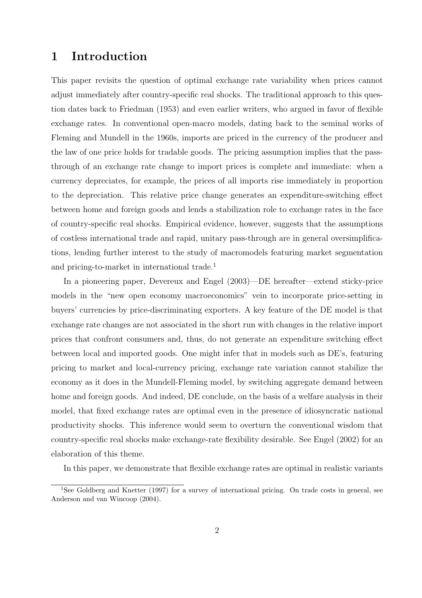# 1 Introduction

This paper revisits the question of optimal exchange rate variability when prices cannot adjust immediately after country-specific real shocks. The traditional approach to this question dates back to Friedman (1953) and even earlier writers, who argued in favor of flexible exchange rates. In conventional open-macro models, dating back to the seminal works of Fleming and Mundell in the 1960s, imports are priced in the currency of the producer and the law of one price holds for tradable goods. The pricing assumption implies that the passthrough of an exchange rate change to import prices is complete and immediate: when a currency depreciates, for example, the prices of all imports rise immediately in proportion to the depreciation. This relative price change generates an expenditure-switching effect between home and foreign goods and lends a stabilization role to exchange rates in the face of country-specific real shocks. Empirical evidence, however, suggests that the assumptions of costless international trade and rapid, unitary pass-through are in general oversimplifications, lending further interest to the study of macromodels featuring market segmentation and pricing-to-market in international trade.<sup>1</sup>

In a pioneering paper, Devereux and Engel (2003)—DE hereafter—extend sticky-price models in the "new open economy macroeconomics" vein to incorporate price-setting in buyers' currencies by price-discriminating exporters. A key feature of the DE model is that exchange rate changes are not associated in the short run with changes in the relative import prices that confront consumers and, thus, do not generate an expenditure switching effect between local and imported goods. One might infer that in models such as DE's, featuring pricing to market and local-currency pricing, exchange rate variation cannot stabilize the economy as it does in the Mundell-Fleming model, by switching aggregate demand between home and foreign goods. And indeed, DE conclude, on the basis of a welfare analysis in their model, that fixed exchange rates are optimal even in the presence of idiosyncratic national productivity shocks. This inference would seem to overturn the conventional wisdom that country-specific real shocks make exchange-rate flexibility desirable. See Engel (2002) for an elaboration of this theme.

In this paper, we demonstrate that flexible exchange rates are optimal in realistic variants

<sup>&</sup>lt;sup>1</sup>See Goldberg and Knetter (1997) for a survey of international pricing. On trade costs in general, see Anderson and van Wincoop (2004).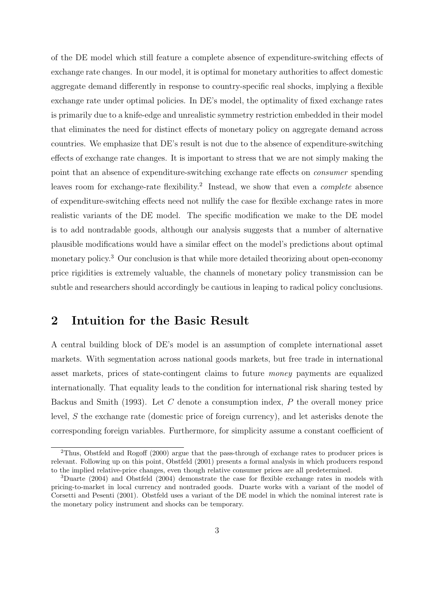of the DE model which still feature a complete absence of expenditure-switching effects of exchange rate changes. In our model, it is optimal for monetary authorities to affect domestic aggregate demand differently in response to country-specific real shocks, implying a flexible exchange rate under optimal policies. In DE's model, the optimality of fixed exchange rates is primarily due to a knife-edge and unrealistic symmetry restriction embedded in their model that eliminates the need for distinct effects of monetary policy on aggregate demand across countries. We emphasize that DE's result is not due to the absence of expenditure-switching effects of exchange rate changes. It is important to stress that we are not simply making the point that an absence of expenditure-switching exchange rate effects on consumer spending leaves room for exchange-rate flexibility.<sup>2</sup> Instead, we show that even a *complete* absence of expenditure-switching effects need not nullify the case for flexible exchange rates in more realistic variants of the DE model. The specific modification we make to the DE model is to add nontradable goods, although our analysis suggests that a number of alternative plausible modifications would have a similar effect on the model's predictions about optimal monetary policy.<sup>3</sup> Our conclusion is that while more detailed theorizing about open-economy price rigidities is extremely valuable, the channels of monetary policy transmission can be subtle and researchers should accordingly be cautious in leaping to radical policy conclusions.

### 2 Intuition for the Basic Result

A central building block of DE's model is an assumption of complete international asset markets. With segmentation across national goods markets, but free trade in international asset markets, prices of state-contingent claims to future money payments are equalized internationally. That equality leads to the condition for international risk sharing tested by Backus and Smith (1993). Let C denote a consumption index, P the overall money price level, S the exchange rate (domestic price of foreign currency), and let asterisks denote the corresponding foreign variables. Furthermore, for simplicity assume a constant coefficient of

<sup>&</sup>lt;sup>2</sup>Thus, Obstfeld and Rogoff (2000) argue that the pass-through of exchange rates to producer prices is relevant. Following up on this point, Obstfeld (2001) presents a formal analysis in which producers respond to the implied relative-price changes, even though relative consumer prices are all predetermined.

<sup>3</sup>Duarte (2004) and Obstfeld (2004) demonstrate the case for flexible exchange rates in models with pricing-to-market in local currency and nontraded goods. Duarte works with a variant of the model of Corsetti and Pesenti (2001). Obstfeld uses a variant of the DE model in which the nominal interest rate is the monetary policy instrument and shocks can be temporary.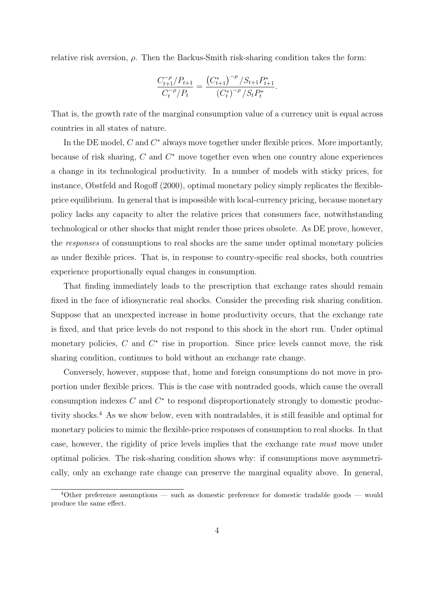relative risk aversion,  $\rho$ . Then the Backus-Smith risk-sharing condition takes the form:

$$
\frac{C_{t+1}^{-\rho}/P_{t+1}}{C_t^{-\rho}/P_t} = \frac{\left(C_{t+1}^*\right)^{-\rho}/S_{t+1}P_{t+1}^*}{\left(C_t^*\right)^{-\rho}/S_tP_t^*}.
$$

That is, the growth rate of the marginal consumption value of a currency unit is equal across countries in all states of nature.

In the DE model,  $C$  and  $C^*$  always move together under flexible prices. More importantly, because of risk sharing,  $C$  and  $C^*$  move together even when one country alone experiences a change in its technological productivity. In a number of models with sticky prices, for instance, Obstfeld and Rogoff (2000), optimal monetary policy simply replicates the flexibleprice equilibrium. In general that is impossible with local-currency pricing, because monetary policy lacks any capacity to alter the relative prices that consumers face, notwithstanding technological or other shocks that might render those prices obsolete. As DE prove, however, the responses of consumptions to real shocks are the same under optimal monetary policies as under flexible prices. That is, in response to country-specific real shocks, both countries experience proportionally equal changes in consumption.

That finding immediately leads to the prescription that exchange rates should remain fixed in the face of idiosyncratic real shocks. Consider the preceding risk sharing condition. Suppose that an unexpected increase in home productivity occurs, that the exchange rate is fixed, and that price levels do not respond to this shock in the short run. Under optimal monetary policies,  $C$  and  $C^*$  rise in proportion. Since price levels cannot move, the risk sharing condition, continues to hold without an exchange rate change.

Conversely, however, suppose that, home and foreign consumptions do not move in proportion under flexible prices. This is the case with nontraded goods, which cause the overall consumption indexes  $C$  and  $C^*$  to respond disproportionately strongly to domestic productivity shocks.<sup>4</sup> As we show below, even with nontradables, it is still feasible and optimal for monetary policies to mimic the flexible-price responses of consumption to real shocks. In that case, however, the rigidity of price levels implies that the exchange rate must move under optimal policies. The risk-sharing condition shows why: if consumptions move asymmetrically, only an exchange rate change can preserve the marginal equality above. In general,

 $4$ Other preference assumptions — such as domestic preference for domestic tradable goods — would produce the same effect.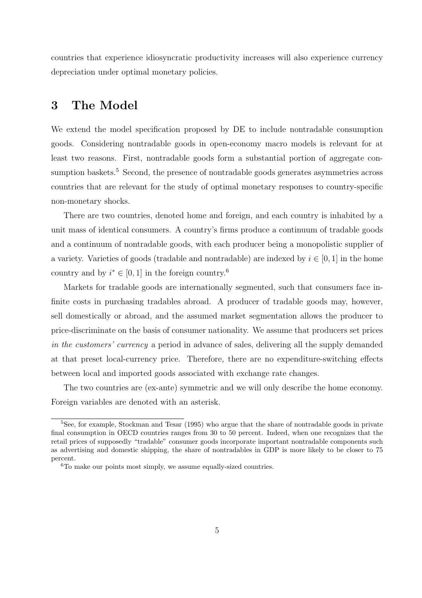countries that experience idiosyncratic productivity increases will also experience currency depreciation under optimal monetary policies.

# 3 The Model

We extend the model specification proposed by DE to include nontradable consumption goods. Considering nontradable goods in open-economy macro models is relevant for at least two reasons. First, nontradable goods form a substantial portion of aggregate consumption baskets.<sup>5</sup> Second, the presence of nontradable goods generates asymmetries across countries that are relevant for the study of optimal monetary responses to country-specific non-monetary shocks.

There are two countries, denoted home and foreign, and each country is inhabited by a unit mass of identical consumers. A country's firms produce a continuum of tradable goods and a continuum of nontradable goods, with each producer being a monopolistic supplier of a variety. Varieties of goods (tradable and nontradable) are indexed by  $i \in [0, 1]$  in the home country and by  $i^* \in [0, 1]$  in the foreign country.<sup>6</sup>

Markets for tradable goods are internationally segmented, such that consumers face infinite costs in purchasing tradables abroad. A producer of tradable goods may, however, sell domestically or abroad, and the assumed market segmentation allows the producer to price-discriminate on the basis of consumer nationality. We assume that producers set prices in the customers' currency a period in advance of sales, delivering all the supply demanded at that preset local-currency price. Therefore, there are no expenditure-switching effects between local and imported goods associated with exchange rate changes.

The two countries are (ex-ante) symmetric and we will only describe the home economy. Foreign variables are denoted with an asterisk.

<sup>&</sup>lt;sup>5</sup>See, for example, Stockman and Tesar (1995) who argue that the share of nontradable goods in private final consumption in OECD countries ranges from 30 to 50 percent. Indeed, when one recognizes that the retail prices of supposedly "tradable" consumer goods incorporate important nontradable components such as advertising and domestic shipping, the share of nontradables in GDP is more likely to be closer to 75 percent.

 ${}^{6}$ To make our points most simply, we assume equally-sized countries.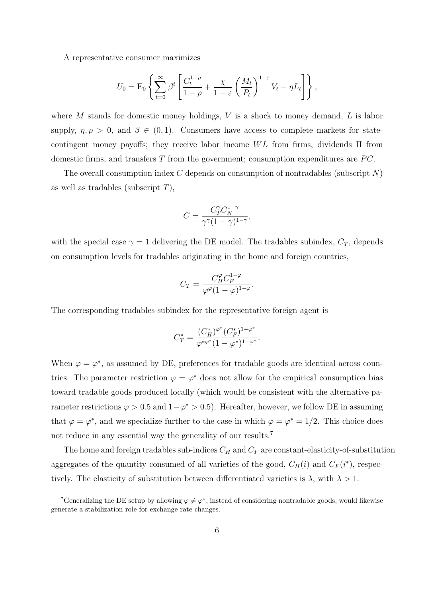A representative consumer maximizes

$$
U_0 = \mathcal{E}_0 \left\{ \sum_{t=0}^{\infty} \beta^t \left[ \frac{C_t^{1-\rho}}{1-\rho} + \frac{\chi}{1-\varepsilon} \left( \frac{M_t}{P_t} \right)^{1-\varepsilon} V_t - \eta L_t \right] \right\},\,
$$

where  $M$  stands for domestic money holdings,  $V$  is a shock to money demand,  $L$  is labor supply,  $\eta, \rho > 0$ , and  $\beta \in (0, 1)$ . Consumers have access to complete markets for statecontingent money payoffs; they receive labor income  $WL$  from firms, dividends  $\Pi$  from domestic firms, and transfers  $T$  from the government; consumption expenditures are  $\overline{PC}$ .

The overall consumption index  $C$  depends on consumption of nontradables (subscript  $N$ ) as well as tradables (subscript  $T$ ),

$$
C = \frac{C_T^{\gamma} C_N^{1-\gamma}}{\gamma^{\gamma} (1-\gamma)^{1-\gamma}},
$$

with the special case  $\gamma = 1$  delivering the DE model. The tradables subindex,  $C_T$ , depends on consumption levels for tradables originating in the home and foreign countries,

$$
C_T = \frac{C_H^{\varphi} C_F^{1-\varphi}}{\varphi^{\varphi} (1-\varphi)^{1-\varphi}}.
$$

The corresponding tradables subindex for the representative foreign agent is

$$
C_T^* = \frac{(C_H^*)^{\varphi^*}(C_F^*)^{1-\varphi^*}}{\varphi^{*\varphi^*}(1-\varphi^*)^{1-\varphi^*}}.
$$

When  $\varphi = \varphi^*$ , as assumed by DE, preferences for tradable goods are identical across countries. The parameter restriction  $\varphi = \varphi^*$  does not allow for the empirical consumption bias toward tradable goods produced locally (which would be consistent with the alternative parameter restrictions  $\varphi > 0.5$  and  $1 - \varphi^* > 0.5$ ). Hereafter, however, we follow DE in assuming that  $\varphi = \varphi^*$ , and we specialize further to the case in which  $\varphi = \varphi^* = 1/2$ . This choice does not reduce in any essential way the generality of our results.<sup>7</sup>

The home and foreign tradables sub-indices  $C_H$  and  $C_F$  are constant-elasticity-of-substitution aggregates of the quantity consumed of all varieties of the good,  $C_H(i)$  and  $C_F(i^*)$ , respectively. The elasticity of substitution between differentiated varieties is  $\lambda$ , with  $\lambda > 1$ .

<sup>&</sup>lt;sup>7</sup>Generalizing the DE setup by allowing  $\varphi \neq \varphi^*$ , instead of considering nontradable goods, would likewise generate a stabilization role for exchange rate changes.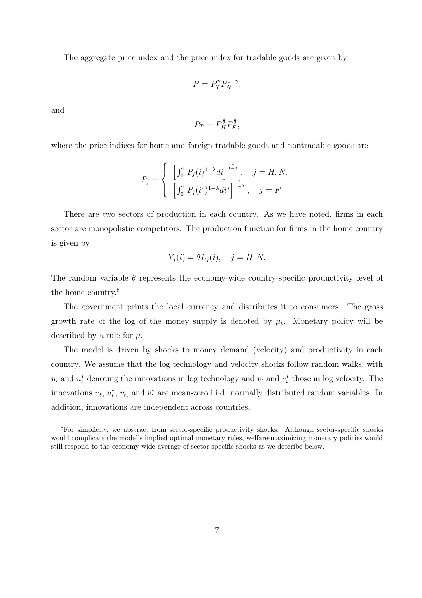The aggregate price index and the price index for tradable goods are given by

$$
P = P_T^{\gamma} P_N^{1-\gamma},
$$

and

$$
P_T = P_H^{\frac{1}{2}} P_F^{\frac{1}{2}},
$$

where the price indices for home and foreign tradable goods and nontradable goods are

$$
P_j = \begin{cases} \left[ \int_0^1 P_j(i)^{1-\lambda} di \right]^{\frac{1}{1-\lambda}}, & j = H, N, \\ \left[ \int_0^1 P_j(i^*)^{1-\lambda} di^* \right]^{\frac{1}{1-\lambda}}, & j = F. \end{cases}
$$

There are two sectors of production in each country. As we have noted, firms in each sector are monopolistic competitors. The production function for firms in the home country is given by

$$
Y_j(i) = \theta L_j(i), \quad j = H, N.
$$

The random variable  $\theta$  represents the economy-wide country-specific productivity level of the home country.<sup>8</sup>

The government prints the local currency and distributes it to consumers. The gross growth rate of the log of the money supply is denoted by  $\mu_t$ . Monetary policy will be described by a rule for  $\mu$ .

The model is driven by shocks to money demand (velocity) and productivity in each country. We assume that the log technology and velocity shocks follow random walks, with  $u_t$  and  $u_t^*$  denoting the innovations in log technology and  $v_t$  and  $v_t^*$  those in log velocity. The innovations  $u_t$ ,  $u_t^*$ ,  $v_t$ , and  $v_t^*$  are mean-zero i.i.d. normally distributed random variables. In addition, innovations are independent across countries.

<sup>&</sup>lt;sup>8</sup>For simplicity, we abstract from sector-specific productivity shocks. Although sector-specific shocks would complicate the model's implied optimal monetary rules, welfare-maximizing monetary policies would still respond to the economy-wide average of sector-specific shocks as we describe below.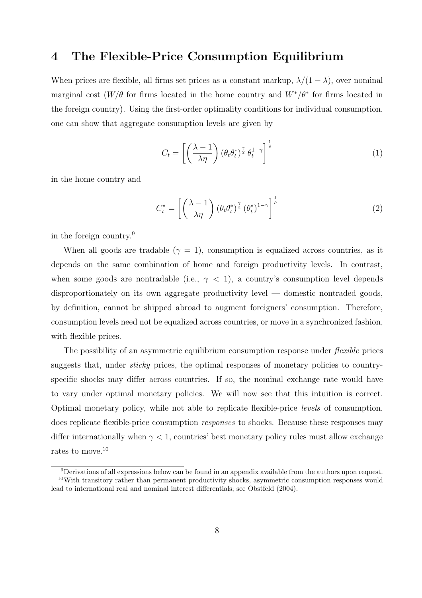### 4 The Flexible-Price Consumption Equilibrium

When prices are flexible, all firms set prices as a constant markup,  $\lambda/(1-\lambda)$ , over nominal marginal cost  $(W/\theta)$  for firms located in the home country and  $W^*/\theta^*$  for firms located in the foreign country). Using the first-order optimality conditions for individual consumption, one can show that aggregate consumption levels are given by

$$
C_t = \left[ \left( \frac{\lambda - 1}{\lambda \eta} \right) (\theta_t \theta_t^*)^{\frac{\gamma}{2}} \theta_t^{1 - \gamma} \right]^{\frac{1}{\rho}}
$$
(1)

in the home country and

$$
C_t^* = \left[ \left( \frac{\lambda - 1}{\lambda \eta} \right) (\theta_t \theta_t^*)^{\frac{\gamma}{2}} (\theta_t^*)^{1 - \gamma} \right]^{\frac{1}{\rho}}
$$
(2)

in the foreign country.<sup>9</sup>

When all goods are tradable ( $\gamma = 1$ ), consumption is equalized across countries, as it depends on the same combination of home and foreign productivity levels. In contrast, when some goods are nontradable (i.e.,  $\gamma$  < 1), a country's consumption level depends disproportionately on its own aggregate productivity level — domestic nontraded goods, by definition, cannot be shipped abroad to augment foreigners' consumption. Therefore, consumption levels need not be equalized across countries, or move in a synchronized fashion, with flexible prices.

The possibility of an asymmetric equilibrium consumption response under *flexible* prices suggests that, under *sticky* prices, the optimal responses of monetary policies to countryspecific shocks may differ across countries. If so, the nominal exchange rate would have to vary under optimal monetary policies. We will now see that this intuition is correct. Optimal monetary policy, while not able to replicate flexible-price levels of consumption, does replicate flexible-price consumption *responses* to shocks. Because these responses may differ internationally when  $\gamma$  < 1, countries' best monetary policy rules must allow exchange rates to move.<sup>10</sup>

<sup>9</sup>Derivations of all expressions below can be found in an appendix available from the authors upon request. <sup>10</sup>With transitory rather than permanent productivity shocks, asymmetric consumption responses would lead to international real and nominal interest differentials; see Obstfeld (2004).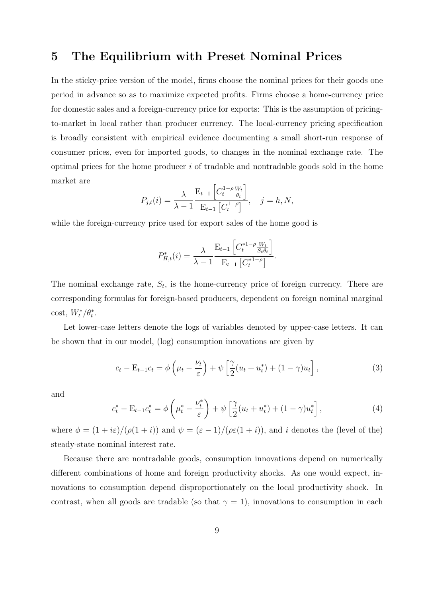# 5 The Equilibrium with Preset Nominal Prices

In the sticky-price version of the model, firms choose the nominal prices for their goods one period in advance so as to maximize expected profits. Firms choose a home-currency price for domestic sales and a foreign-currency price for exports: This is the assumption of pricingto-market in local rather than producer currency. The local-currency pricing specification is broadly consistent with empirical evidence documenting a small short-run response of consumer prices, even for imported goods, to changes in the nominal exchange rate. The optimal prices for the home producer  $i$  of tradable and nontradable goods sold in the home market are h i

$$
P_{j,t}(i) = \frac{\lambda}{\lambda - 1} \frac{\mathcal{E}_{t-1} \left[ C_t^{1-\rho} \frac{W_t}{\theta_t} \right]}{\mathcal{E}_{t-1} \left[ C_t^{1-\rho} \right]}, \quad j = h, N,
$$

while the foreign-currency price used for export sales of the home good is

$$
P_{H,t}^{*}(i) = \frac{\lambda}{\lambda - 1} \frac{\mathbf{E}_{t-1} \left[ C_{t}^{*1-\rho} \frac{W_{t}}{S_{t} \theta_{t}} \right]}{\mathbf{E}_{t-1} \left[ C_{t}^{*1-\rho} \right]}.
$$

The nominal exchange rate,  $S_t$ , is the home-currency price of foreign currency. There are corresponding formulas for foreign-based producers, dependent on foreign nominal marginal cost,  $W_t^*/\theta_t^*$ .

Let lower-case letters denote the logs of variables denoted by upper-case letters. It can be shown that in our model, (log) consumption innovations are given by

$$
c_t - \mathcal{E}_{t-1}c_t = \phi\left(\mu_t - \frac{\nu_t}{\varepsilon}\right) + \psi\left[\frac{\gamma}{2}(u_t + u_t^*) + (1 - \gamma)u_t\right],\tag{3}
$$

and

$$
c_t^* - \mathcal{E}_{t-1} c_t^* = \phi \left( \mu_t^* - \frac{\nu_t^*}{\varepsilon} \right) + \psi \left[ \frac{\gamma}{2} (u_t + u_t^*) + (1 - \gamma) u_t^* \right], \tag{4}
$$

where  $\phi = (1 + i\varepsilon)/(\rho(1 + i))$  and  $\psi = (\varepsilon - 1)/(\rho\varepsilon(1 + i))$ , and i denotes the (level of the) steady-state nominal interest rate.

Because there are nontradable goods, consumption innovations depend on numerically different combinations of home and foreign productivity shocks. As one would expect, innovations to consumption depend disproportionately on the local productivity shock. In contrast, when all goods are tradable (so that  $\gamma = 1$ ), innovations to consumption in each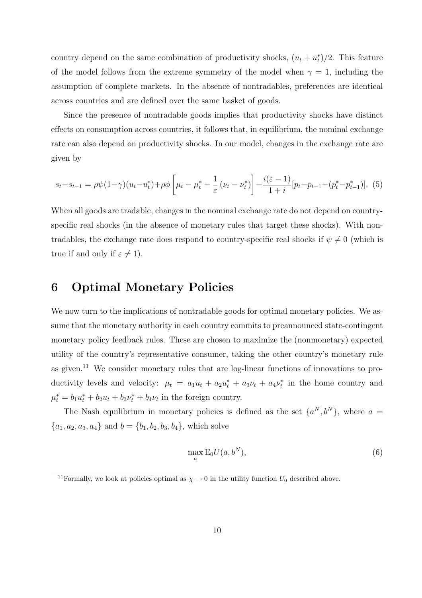country depend on the same combination of productivity shocks,  $(u_t + u_t^*)/2$ . This feature of the model follows from the extreme symmetry of the model when  $\gamma = 1$ , including the assumption of complete markets. In the absence of nontradables, preferences are identical across countries and are defined over the same basket of goods.

Since the presence of nontradable goods implies that productivity shocks have distinct effects on consumption across countries, it follows that, in equilibrium, the nominal exchange rate can also depend on productivity shocks. In our model, changes in the exchange rate are given by

$$
s_t - s_{t-1} = \rho \psi (1 - \gamma) (u_t - u_t^*) + \rho \phi \left[ \mu_t - \mu_t^* - \frac{1}{\varepsilon} (\nu_t - \nu_t^*) \right] - \frac{i(\varepsilon - 1)}{1 + i} [p_t - p_{t-1} - (p_t^* - p_{t-1}^*)].
$$
 (5)

When all goods are tradable, changes in the nominal exchange rate do not depend on countryspecific real shocks (in the absence of monetary rules that target these shocks). With nontradables, the exchange rate does respond to country-specific real shocks if  $\psi \neq 0$  (which is true if and only if  $\varepsilon \neq 1$ ).

### 6 Optimal Monetary Policies

We now turn to the implications of nontradable goods for optimal monetary policies. We assume that the monetary authority in each country commits to preannounced state-contingent monetary policy feedback rules. These are chosen to maximize the (nonmonetary) expected utility of the country's representative consumer, taking the other country's monetary rule as given.<sup>11</sup> We consider monetary rules that are log-linear functions of innovations to productivity levels and velocity:  $\mu_t = a_1 u_t + a_2 u_t^* + a_3 \nu_t + a_4 \nu_t^*$  in the home country and  $\mu_t^* = b_1 u_t^* + b_2 u_t + b_3 \nu_t^* + b_4 \nu_t$  in the foreign country.

The Nash equilibrium in monetary policies is defined as the set  $\{a^N, b^N\}$ , where  $a =$  ${a_1, a_2, a_3, a_4}$  and  $b = {b_1, b_2, b_3, b_4}$ , which solve

$$
\max_{a} \mathcal{E}_0 U(a, b^N),\tag{6}
$$

<sup>&</sup>lt;sup>11</sup>Formally, we look at policies optimal as  $\chi \to 0$  in the utility function  $U_0$  described above.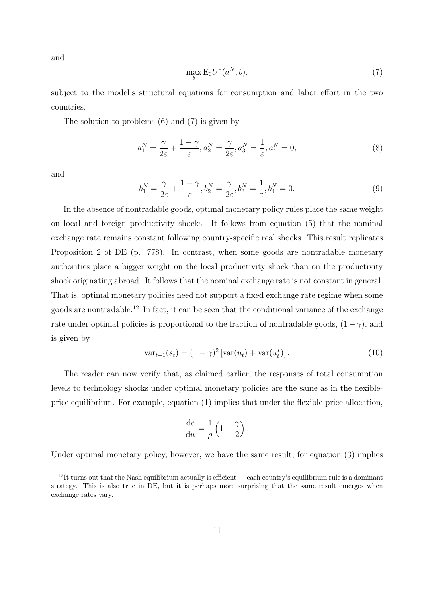and

$$
\max_{b} \mathcal{E}_0 U^*(a^N, b),\tag{7}
$$

subject to the model's structural equations for consumption and labor effort in the two countries.

The solution to problems (6) and (7) is given by

$$
a_1^N = \frac{\gamma}{2\varepsilon} + \frac{1-\gamma}{\varepsilon}, a_2^N = \frac{\gamma}{2\varepsilon}, a_3^N = \frac{1}{\varepsilon}, a_4^N = 0,
$$
\n(8)

and

$$
b_1^N = \frac{\gamma}{2\varepsilon} + \frac{1-\gamma}{\varepsilon}, b_2^N = \frac{\gamma}{2\varepsilon}, b_3^N = \frac{1}{\varepsilon}, b_4^N = 0.
$$
 (9)

In the absence of nontradable goods, optimal monetary policy rules place the same weight on local and foreign productivity shocks. It follows from equation (5) that the nominal exchange rate remains constant following country-specific real shocks. This result replicates Proposition 2 of DE (p. 778). In contrast, when some goods are nontradable monetary authorities place a bigger weight on the local productivity shock than on the productivity shock originating abroad. It follows that the nominal exchange rate is not constant in general. That is, optimal monetary policies need not support a fixed exchange rate regime when some goods are nontradable.<sup>12</sup> In fact, it can be seen that the conditional variance of the exchange rate under optimal policies is proportional to the fraction of nontradable goods,  $(1 - \gamma)$ , and is given by

$$
var_{t-1}(s_t) = (1 - \gamma)^2 \left[ var(u_t) + var(u_t^*) \right]. \tag{10}
$$

The reader can now verify that, as claimed earlier, the responses of total consumption levels to technology shocks under optimal monetary policies are the same as in the flexibleprice equilibrium. For example, equation (1) implies that under the flexible-price allocation,

$$
\frac{\mathrm{d}c}{\mathrm{d}u} = \frac{1}{\rho} \left( 1 - \frac{\gamma}{2} \right).
$$

Under optimal monetary policy, however, we have the same result, for equation (3) implies

 $12$ It turns out that the Nash equilibrium actually is efficient — each country's equilibrium rule is a dominant strategy. This is also true in DE, but it is perhaps more surprising that the same result emerges when exchange rates vary.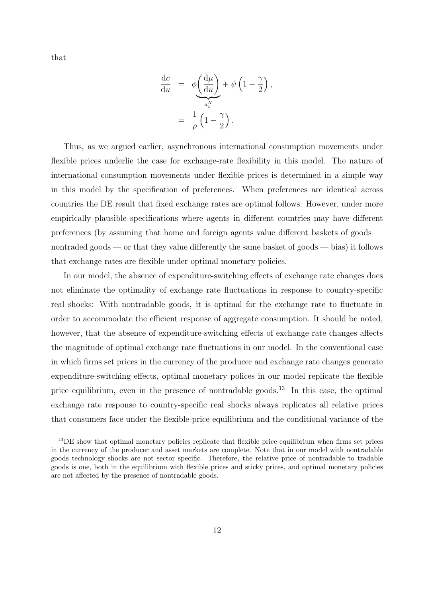that

$$
\frac{dc}{du} = \phi \left( \frac{d\mu}{du} \right) + \psi \left( 1 - \frac{\gamma}{2} \right),
$$

$$
= \frac{1}{\rho} \left( 1 - \frac{\gamma}{2} \right).
$$

Thus, as we argued earlier, asynchronous international consumption movements under flexible prices underlie the case for exchange-rate flexibility in this model. The nature of international consumption movements under flexible prices is determined in a simple way in this model by the specification of preferences. When preferences are identical across countries the DE result that fixed exchange rates are optimal follows. However, under more empirically plausible specifications where agents in different countries may have different preferences (by assuming that home and foreign agents value different baskets of goods nontraded goods — or that they value differently the same basket of goods — bias) it follows that exchange rates are flexible under optimal monetary policies.

In our model, the absence of expenditure-switching effects of exchange rate changes does not eliminate the optimality of exchange rate fluctuations in response to country-specific real shocks: With nontradable goods, it is optimal for the exchange rate to fluctuate in order to accommodate the efficient response of aggregate consumption. It should be noted, however, that the absence of expenditure-switching effects of exchange rate changes affects the magnitude of optimal exchange rate fluctuations in our model. In the conventional case in which firms set prices in the currency of the producer and exchange rate changes generate expenditure-switching effects, optimal monetary polices in our model replicate the flexible price equilibrium, even in the presence of nontradable goods.<sup>13</sup> In this case, the optimal exchange rate response to country-specific real shocks always replicates all relative prices that consumers face under the flexible-price equilibrium and the conditional variance of the

<sup>&</sup>lt;sup>13</sup>DE show that optimal monetary policies replicate that flexible price equilibrium when firms set prices in the currency of the producer and asset markets are complete. Note that in our model with nontradable goods technology shocks are not sector specific. Therefore, the relative price of nontradable to tradable goods is one, both in the equilibrium with flexible prices and sticky prices, and optimal monetary policies are not affected by the presence of nontradable goods.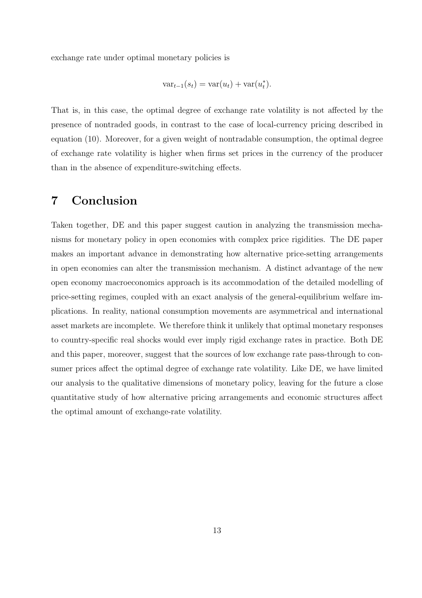exchange rate under optimal monetary policies is

$$
\text{var}_{t-1}(s_t) = \text{var}(u_t) + \text{var}(u_t^*).
$$

That is, in this case, the optimal degree of exchange rate volatility is not affected by the presence of nontraded goods, in contrast to the case of local-currency pricing described in equation (10). Moreover, for a given weight of nontradable consumption, the optimal degree of exchange rate volatility is higher when firms set prices in the currency of the producer than in the absence of expenditure-switching effects.

# 7 Conclusion

Taken together, DE and this paper suggest caution in analyzing the transmission mechanisms for monetary policy in open economies with complex price rigidities. The DE paper makes an important advance in demonstrating how alternative price-setting arrangements in open economies can alter the transmission mechanism. A distinct advantage of the new open economy macroeconomics approach is its accommodation of the detailed modelling of price-setting regimes, coupled with an exact analysis of the general-equilibrium welfare implications. In reality, national consumption movements are asymmetrical and international asset markets are incomplete. We therefore think it unlikely that optimal monetary responses to country-specific real shocks would ever imply rigid exchange rates in practice. Both DE and this paper, moreover, suggest that the sources of low exchange rate pass-through to consumer prices affect the optimal degree of exchange rate volatility. Like DE, we have limited our analysis to the qualitative dimensions of monetary policy, leaving for the future a close quantitative study of how alternative pricing arrangements and economic structures affect the optimal amount of exchange-rate volatility.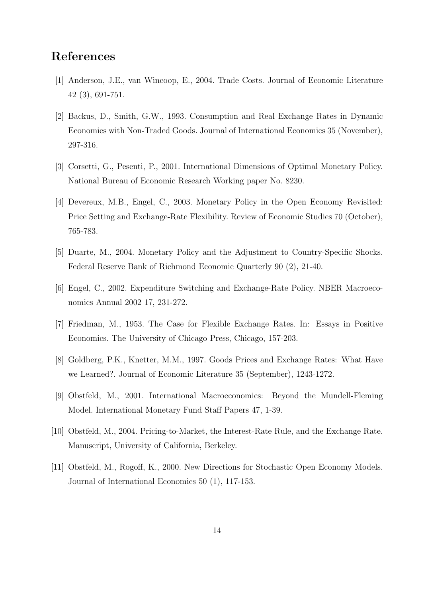# References

- [1] Anderson, J.E., van Wincoop, E., 2004. Trade Costs. Journal of Economic Literature 42 (3), 691-751.
- [2] Backus, D., Smith, G.W., 1993. Consumption and Real Exchange Rates in Dynamic Economies with Non-Traded Goods. Journal of International Economics 35 (November), 297-316.
- [3] Corsetti, G., Pesenti, P., 2001. International Dimensions of Optimal Monetary Policy. National Bureau of Economic Research Working paper No. 8230.
- [4] Devereux, M.B., Engel, C., 2003. Monetary Policy in the Open Economy Revisited: Price Setting and Exchange-Rate Flexibility. Review of Economic Studies 70 (October), 765-783.
- [5] Duarte, M., 2004. Monetary Policy and the Adjustment to Country-Specific Shocks. Federal Reserve Bank of Richmond Economic Quarterly 90 (2), 21-40.
- [6] Engel, C., 2002. Expenditure Switching and Exchange-Rate Policy. NBER Macroeconomics Annual 2002 17, 231-272.
- [7] Friedman, M., 1953. The Case for Flexible Exchange Rates. In: Essays in Positive Economics. The University of Chicago Press, Chicago, 157-203.
- [8] Goldberg, P.K., Knetter, M.M., 1997. Goods Prices and Exchange Rates: What Have we Learned?. Journal of Economic Literature 35 (September), 1243-1272.
- [9] Obstfeld, M., 2001. International Macroeconomics: Beyond the Mundell-Fleming Model. International Monetary Fund Staff Papers 47, 1-39.
- [10] Obstfeld, M., 2004. Pricing-to-Market, the Interest-Rate Rule, and the Exchange Rate. Manuscript, University of California, Berkeley.
- [11] Obstfeld, M., Rogoff, K., 2000. New Directions for Stochastic Open Economy Models. Journal of International Economics 50 (1), 117-153.